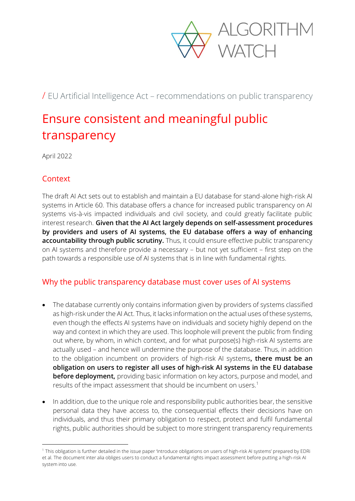

/ EU Artificial Intelligence Act – recommendations on public transparency

## Ensure consistent and meaningful public transparency

April 2022

## **Context**

The draft AI Act sets out to establish and maintain a EU database for stand-alone high-risk AI systems in Article 60. This database offers a chance for increased public transparency on AI systems vis-à-vis impacted individuals and civil society, and could greatly facilitate public interest research. **Given that the AI Act largely depends on self-assessment procedures by providers and users of AI systems, the EU database offers a way of enhancing accountability through public scrutiny.** Thus, it could ensure effective public transparency on AI systems and therefore provide a necessary – but not yet sufficient – first step on the path towards a responsible use of AI systems that is in line with fundamental rights.

## Why the public transparency database must cover uses of AI systems

- The database currently only contains information given by providers of systems classified as high-risk under the AI Act. Thus, it lacks information on the actual uses of these systems, even though the effects AI systems have on individuals and society highly depend on the way and context in which they are used. This loophole will prevent the public from finding out where, by whom, in which context, and for what purpose(s) high-risk AI systems are actually used – and hence will undermine the purpose of the database. Thus, in addition to the obligation incumbent on providers of high-risk AI systems**, there must be an obligation on users to register all uses of high-risk AI systems in the EU database before deployment,** providing basic information on key actors, purpose and model, and results of the impact assessment that should be incumbent on users.<sup>1</sup>
- In addition, due to the unique role and responsibility public authorities bear, the sensitive personal data they have access to, the consequential effects their decisions have on individuals, and thus their primary obligation to respect, protect and fulfil fundamental rights, public authorities should be subject to more stringent transparency requirements

<sup>&</sup>lt;sup>1</sup> This obligation is further detailed in the issue paper 'Introduce obligations on users of high-risk AI systems' prepared by EDRi et al. The document inter alia obliges users to conduct a fundamental rights impact assessment before putting a high-risk AI system into use.